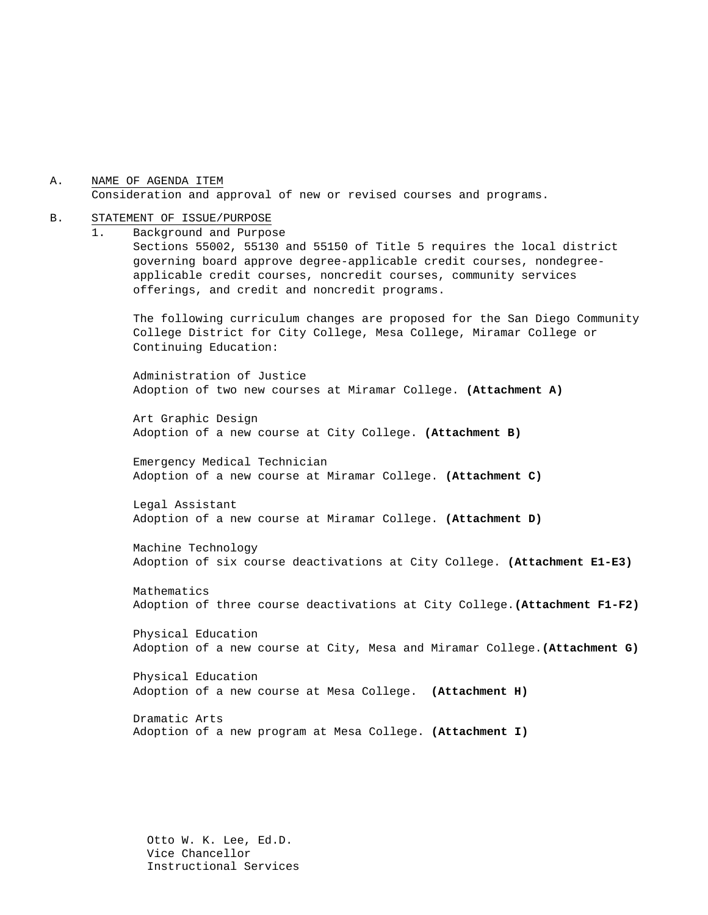A. NAME OF AGENDA ITEM Consideration and approval of new or revised courses and programs.

#### B. STATEMENT OF ISSUE/PURPOSE

1. Background and Purpose

Sections 55002, 55130 and 55150 of Title 5 requires the local district governing board approve degree-applicable credit courses, nondegreeapplicable credit courses, noncredit courses, community services offerings, and credit and noncredit programs.

The following curriculum changes are proposed for the San Diego Community College District for City College, Mesa College, Miramar College or Continuing Education:

Administration of Justice Adoption of two new courses at Miramar College. **(Attachment A)**

Art Graphic Design Adoption of a new course at City College. **(Attachment B)**

Emergency Medical Technician Adoption of a new course at Miramar College. **(Attachment C)**

Legal Assistant Adoption of a new course at Miramar College. **(Attachment D)**

Machine Technology Adoption of six course deactivations at City College. **(Attachment E1-E3)**

Mathematics Adoption of three course deactivations at City College.**(Attachment F1-F2)**

Physical Education Adoption of a new course at City, Mesa and Miramar College.**(Attachment G)**

Physical Education Adoption of a new course at Mesa College. **(Attachment H)**

Dramatic Arts Adoption of a new program at Mesa College. **(Attachment I)**

Otto W. K. Lee, Ed.D. Vice Chancellor Instructional Services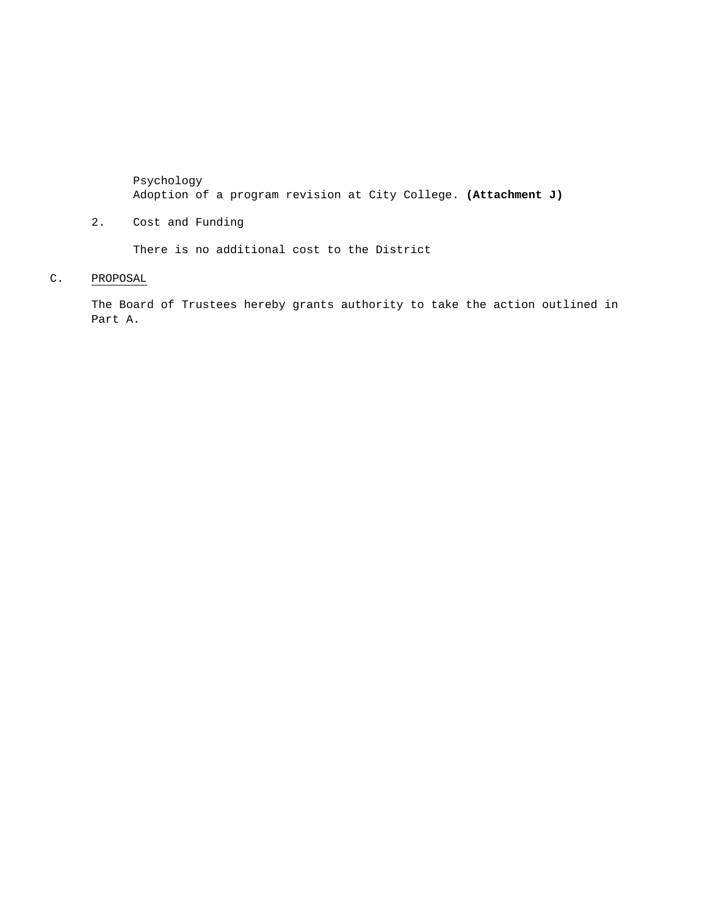Psychology Adoption of a program revision at City College. **(Attachment J)**

2. Cost and Funding

There is no additional cost to the District

C. PROPOSAL

The Board of Trustees hereby grants authority to take the action outlined in Part A.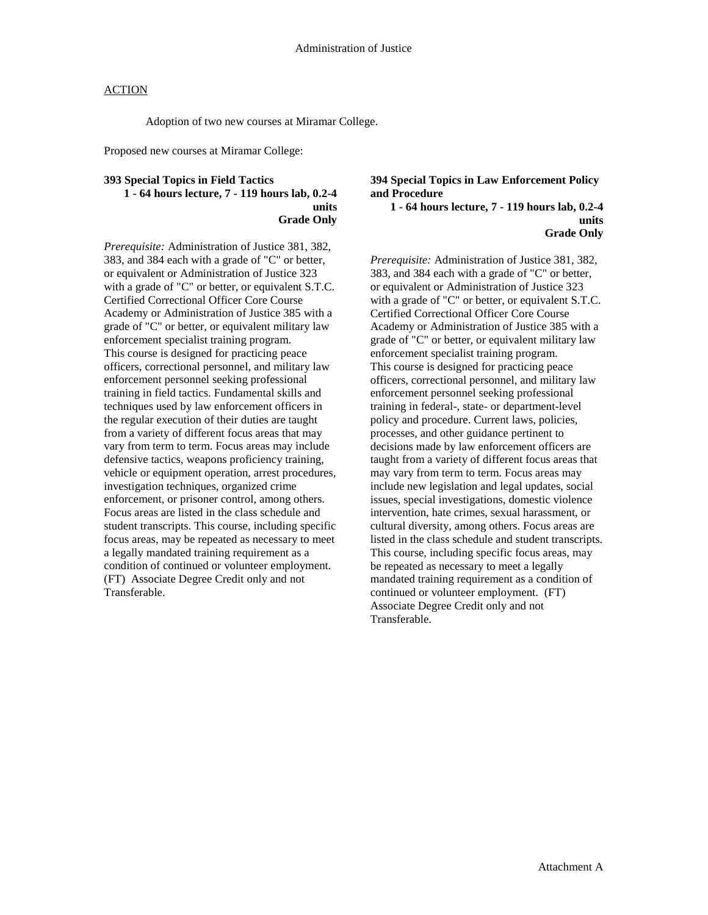Adoption of two new courses at Miramar College.

Proposed new courses at Miramar College:

#### **393 Special Topics in Field Tactics 1 - 64 hours lecture, 7 - 119 hours lab, 0.2-4 units Grade Only**

*Prerequisite:* Administration of Justice 381, 382, 383, and 384 each with a grade of "C" or better, or equivalent or Administration of Justice 323 with a grade of "C" or better, or equivalent S.T.C. Certified Correctional Officer Core Course Academy or Administration of Justice 385 with a grade of "C" or better, or equivalent military law enforcement specialist training program. This course is designed for practicing peace officers, correctional personnel, and military law enforcement personnel seeking professional training in field tactics. Fundamental skills and techniques used by law enforcement officers in the regular execution of their duties are taught from a variety of different focus areas that may vary from term to term. Focus areas may include defensive tactics, weapons proficiency training, vehicle or equipment operation, arrest procedures, investigation techniques, organized crime enforcement, or prisoner control, among others. Focus areas are listed in the class schedule and student transcripts. This course, including specific focus areas, may be repeated as necessary to meet a legally mandated training requirement as a condition of continued or volunteer employment. (FT) Associate Degree Credit only and not Transferable.

**394 Special Topics in Law Enforcement Policy and Procedure 1 - 64 hours lecture, 7 - 119 hours lab, 0.2-4** 

#### **units Grade Only**

*Prerequisite:* Administration of Justice 381, 382, 383, and 384 each with a grade of "C" or better, or equivalent or Administration of Justice 323 with a grade of "C" or better, or equivalent S.T.C. Certified Correctional Officer Core Course Academy or Administration of Justice 385 with a grade of "C" or better, or equivalent military law enforcement specialist training program. This course is designed for practicing peace officers, correctional personnel, and military law enforcement personnel seeking professional training in federal-, state- or department-level policy and procedure. Current laws, policies, processes, and other guidance pertinent to decisions made by law enforcement officers are taught from a variety of different focus areas that may vary from term to term. Focus areas may include new legislation and legal updates, social issues, special investigations, domestic violence intervention, hate crimes, sexual harassment, or cultural diversity, among others. Focus areas are listed in the class schedule and student transcripts. This course, including specific focus areas, may be repeated as necessary to meet a legally mandated training requirement as a condition of continued or volunteer employment. (FT) Associate Degree Credit only and not Transferable.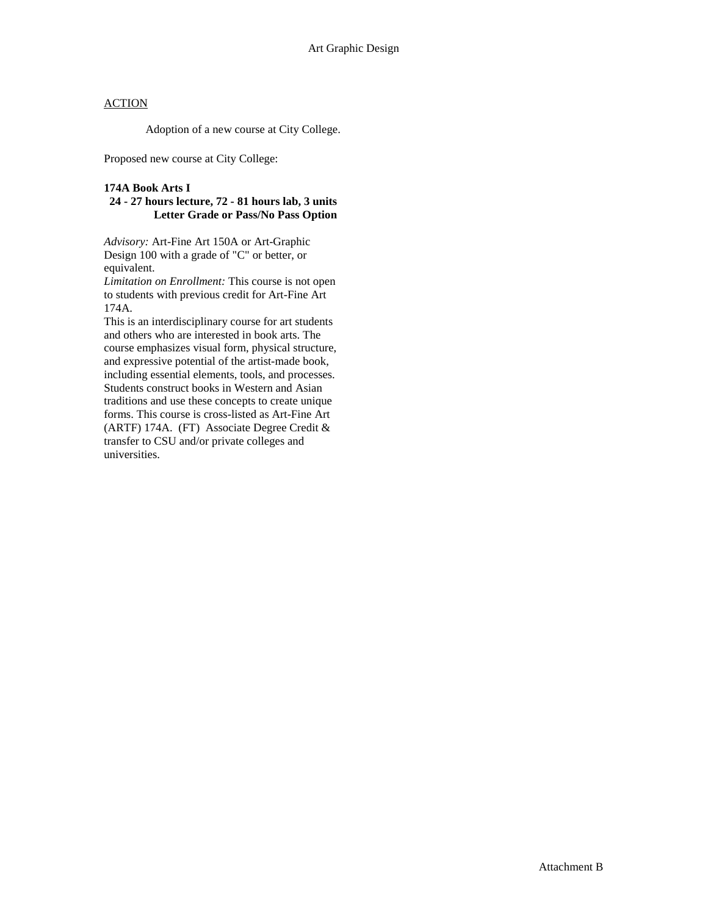Adoption of a new course at City College.

Proposed new course at City College:

#### **174A Book Arts I**

## **24 - 27 hours lecture, 72 - 81 hours lab, 3 units Letter Grade or Pass/No Pass Option**

*Advisory:* Art-Fine Art 150A or Art-Graphic Design 100 with a grade of "C" or better, or equivalent.

*Limitation on Enrollment:* This course is not open to students with previous credit for Art-Fine Art 174A.

This is an interdisciplinary course for art students and others who are interested in book arts. The course emphasizes visual form, physical structure, and expressive potential of the artist-made book, including essential elements, tools, and processes. Students construct books in Western and Asian traditions and use these concepts to create unique forms. This course is cross-listed as Art-Fine Art (ARTF) 174A. (FT) Associate Degree Credit & transfer to CSU and/or private colleges and universities.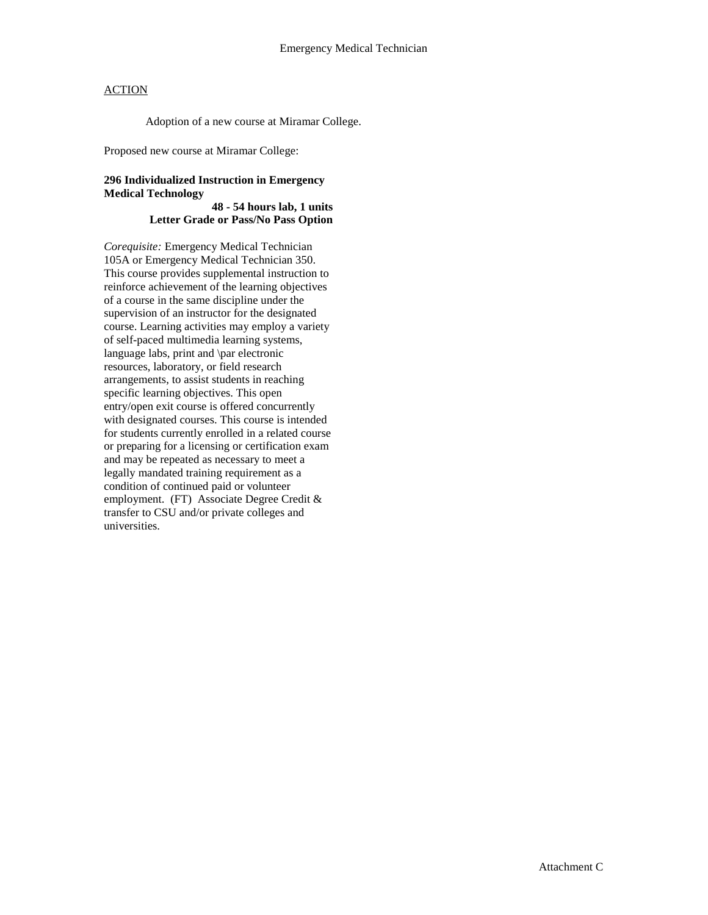Adoption of a new course at Miramar College.

Proposed new course at Miramar College:

# **296 Individualized Instruction in Emergency Medical Technology**

#### **48 - 54 hours lab, 1 units Letter Grade or Pass/No Pass Option**

*Corequisite:* Emergency Medical Technician 105A or Emergency Medical Technician 350. This course provides supplemental instruction to reinforce achievement of the learning objectives of a course in the same discipline under the supervision of an instructor for the designated course. Learning activities may employ a variety of self-paced multimedia learning systems, language labs, print and \par electronic resources, laboratory, or field research arrangements, to assist students in reaching specific learning objectives. This open entry/open exit course is offered concurrently with designated courses. This course is intended for students currently enrolled in a related course or preparing for a licensing or certification exam and may be repeated as necessary to meet a legally mandated training requirement as a condition of continued paid or volunteer employment. (FT) Associate Degree Credit & transfer to CSU and/or private colleges and universities.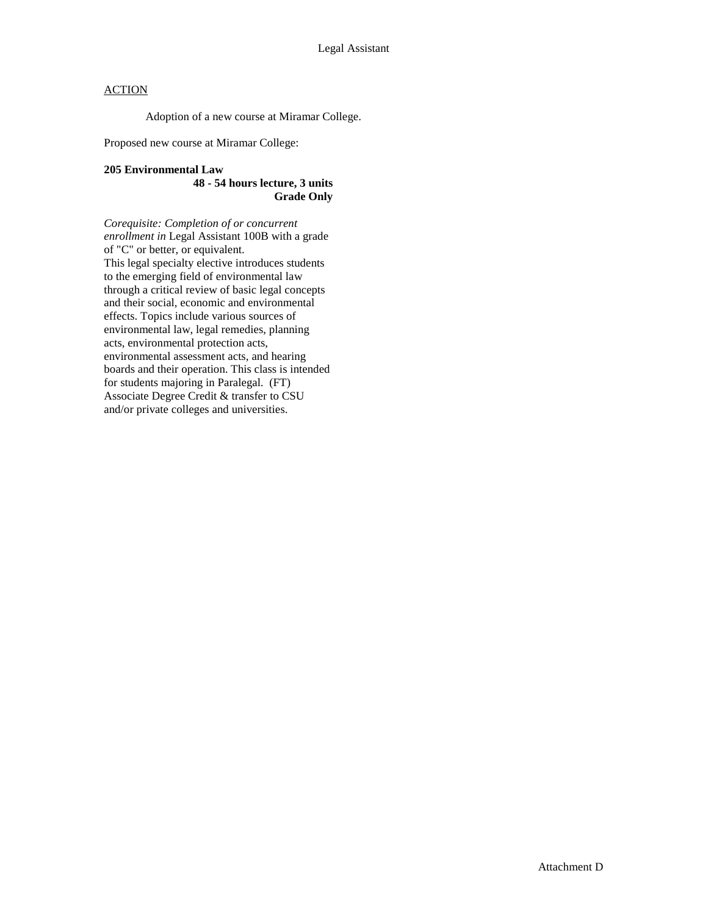Adoption of a new course at Miramar College.

Proposed new course at Miramar College:

#### **205 Environmental Law 48 - 54 hours lecture, 3 units Grade Only**

*Corequisite: Completion of or concurrent enrollment in* Legal Assistant 100B with a grade of "C" or better, or equivalent. This legal specialty elective introduces students to the emerging field of environmental law through a critical review of basic legal concepts and their social, economic and environmental effects. Topics include various sources of environmental law, legal remedies, planning acts, environmental protection acts, environmental assessment acts, and hearing boards and their operation. This class is intended for students majoring in Paralegal. (FT) Associate Degree Credit & transfer to CSU and/or private colleges and universities.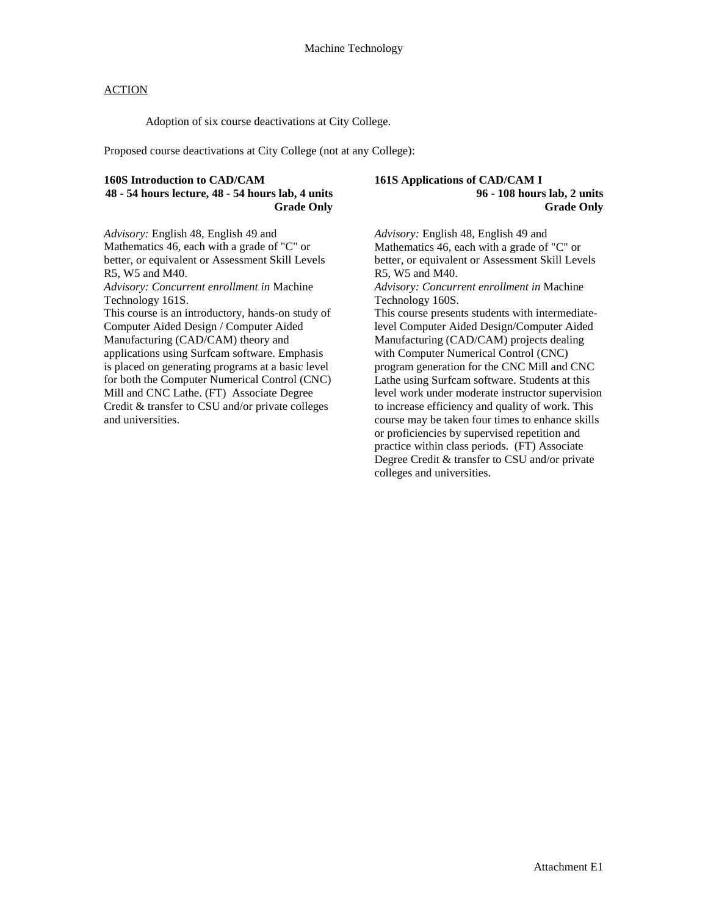Adoption of six course deactivations at City College.

Proposed course deactivations at City College (not at any College):

# **160S Introduction to CAD/CAM 48 - 54 hours lecture, 48 - 54 hours lab, 4 units Grade Only**

*Advisory:* English 48, English 49 and Mathematics 46, each with a grade of "C" or better, or equivalent or Assessment Skill Levels R5, W5 and M40.

*Advisory: Concurrent enrollment in* Machine Technology 161S.

This course is an introductory, hands-on study of Computer Aided Design / Computer Aided Manufacturing (CAD/CAM) theory and applications using Surfcam software. Emphasis is placed on generating programs at a basic level for both the Computer Numerical Control (CNC) Mill and CNC Lathe. (FT) Associate Degree Credit & transfer to CSU and/or private colleges and universities.

#### **161S Applications of CAD/CAM I 96 - 108 hours lab, 2 units Grade Only**

*Advisory:* English 48, English 49 and Mathematics 46, each with a grade of "C" or better, or equivalent or Assessment Skill Levels R5, W5 and M40. *Advisory: Concurrent enrollment in* Machine Technology 160S. This course presents students with intermediatelevel Computer Aided Design/Computer Aided Manufacturing (CAD/CAM) projects dealing with Computer Numerical Control (CNC) program generation for the CNC Mill and CNC Lathe using Surfcam software. Students at this level work under moderate instructor supervision to increase efficiency and quality of work. This course may be taken four times to enhance skills or proficiencies by supervised repetition and practice within class periods. (FT) Associate Degree Credit & transfer to CSU and/or private colleges and universities.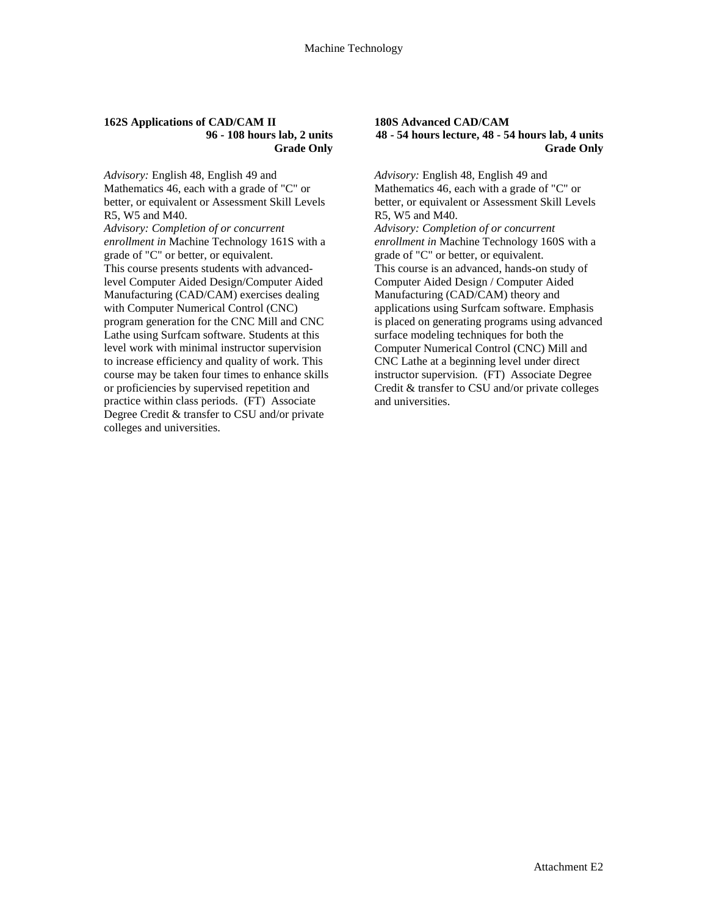#### **162S Applications of CAD/CAM II 96 - 108 hours lab, 2 units Grade Only**

*Advisory:* English 48, English 49 and Mathematics 46, each with a grade of "C" or better, or equivalent or Assessment Skill Levels R5, W5 and M40.

*Advisory: Completion of or concurrent enrollment in* Machine Technology 161S with a grade of "C" or better, or equivalent. This course presents students with advancedlevel Computer Aided Design/Computer Aided Manufacturing (CAD/CAM) exercises dealing with Computer Numerical Control (CNC) program generation for the CNC Mill and CNC Lathe using Surfcam software. Students at this level work with minimal instructor supervision to increase efficiency and quality of work. This course may be taken four times to enhance skills or proficiencies by supervised repetition and practice within class periods. (FT) Associate Degree Credit & transfer to CSU and/or private colleges and universities.

#### **180S Advanced CAD/CAM 48 - 54 hours lecture, 48 - 54 hours lab, 4 units Grade Only**

*Advisory:* English 48, English 49 and Mathematics 46, each with a grade of "C" or better, or equivalent or Assessment Skill Levels R5, W5 and M40. *Advisory: Completion of or concurrent enrollment in* Machine Technology 160S with a grade of "C" or better, or equivalent. This course is an advanced, hands-on study of Computer Aided Design / Computer Aided Manufacturing (CAD/CAM) theory and applications using Surfcam software. Emphasis is placed on generating programs using advanced surface modeling techniques for both the Computer Numerical Control (CNC) Mill and CNC Lathe at a beginning level under direct instructor supervision. (FT) Associate Degree Credit & transfer to CSU and/or private colleges and universities.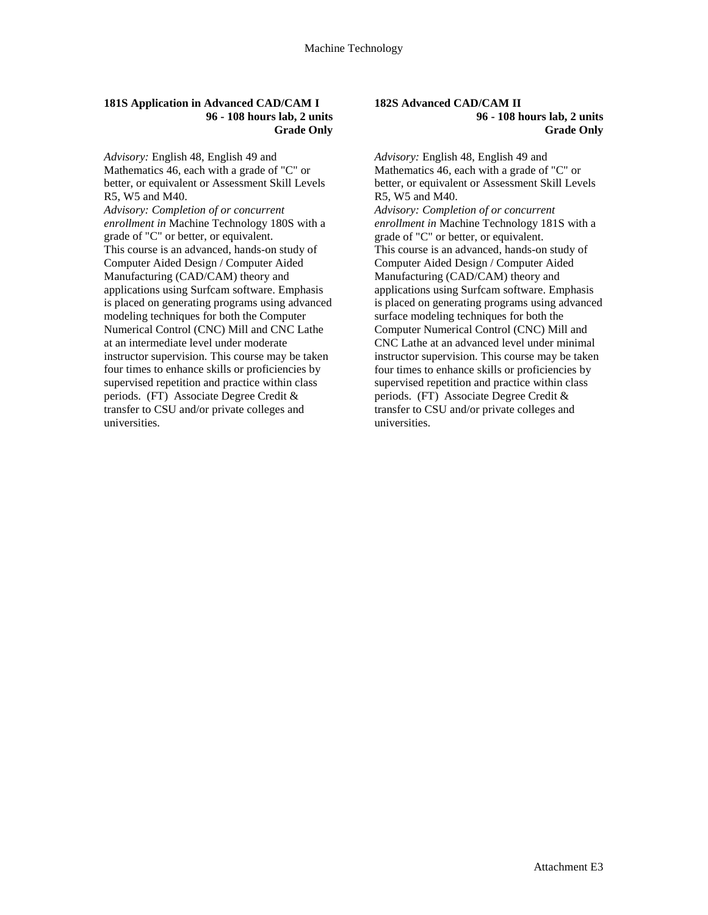#### **181S Application in Advanced CAD/CAM I 96 - 108 hours lab, 2 units Grade Only**

*Advisory:* English 48, English 49 and Mathematics 46, each with a grade of "C" or better, or equivalent or Assessment Skill Levels R5, W5 and M40.

*Advisory: Completion of or concurrent enrollment in* Machine Technology 180S with a grade of "C" or better, or equivalent. This course is an advanced, hands-on study of Computer Aided Design / Computer Aided Manufacturing (CAD/CAM) theory and applications using Surfcam software. Emphasis is placed on generating programs using advanced modeling techniques for both the Computer Numerical Control (CNC) Mill and CNC Lathe at an intermediate level under moderate instructor supervision. This course may be taken four times to enhance skills or proficiencies by supervised repetition and practice within class periods. (FT) Associate Degree Credit & transfer to CSU and/or private colleges and universities.

#### **182S Advanced CAD/CAM II 96 - 108 hours lab, 2 units Grade Only**

*Advisory:* English 48, English 49 and Mathematics 46, each with a grade of "C" or better, or equivalent or Assessment Skill Levels R5, W5 and M40.

*Advisory: Completion of or concurrent enrollment in* Machine Technology 181S with a grade of "C" or better, or equivalent. This course is an advanced, hands-on study of Computer Aided Design / Computer Aided Manufacturing (CAD/CAM) theory and applications using Surfcam software. Emphasis is placed on generating programs using advanced surface modeling techniques for both the Computer Numerical Control (CNC) Mill and CNC Lathe at an advanced level under minimal instructor supervision. This course may be taken four times to enhance skills or proficiencies by supervised repetition and practice within class periods. (FT) Associate Degree Credit & transfer to CSU and/or private colleges and universities.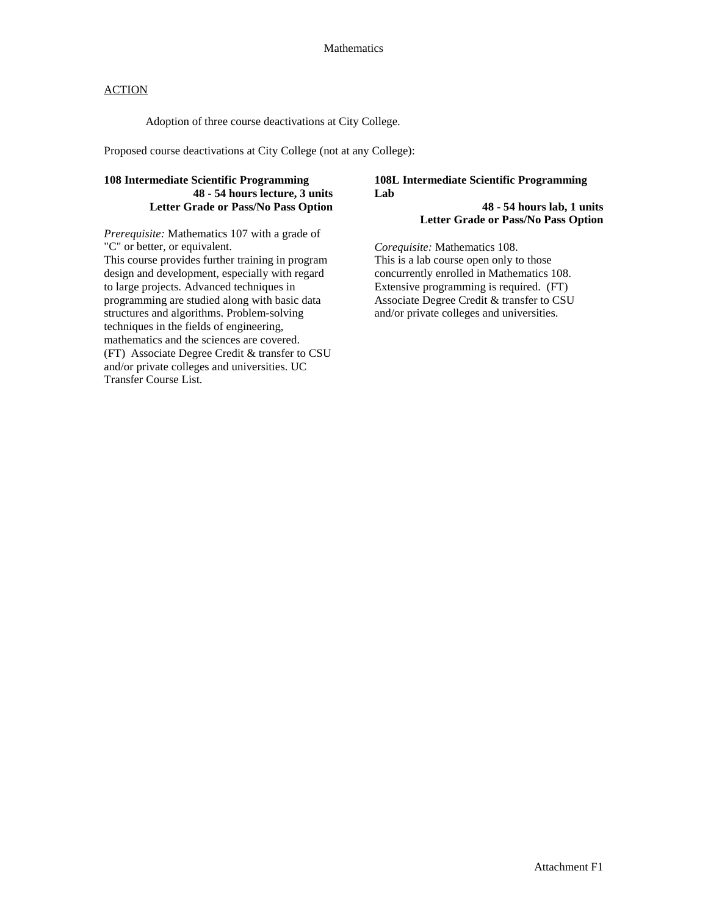Adoption of three course deactivations at City College.

Proposed course deactivations at City College (not at any College):

# **108 Intermediate Scientific Programming 48 - 54 hours lecture, 3 units Letter Grade or Pass/No Pass Option**

*Prerequisite:* Mathematics 107 with a grade of "C" or better, or equivalent. This course provides further training in program design and development, especially with regard to large projects. Advanced techniques in programming are studied along with basic data structures and algorithms. Problem-solving techniques in the fields of engineering, mathematics and the sciences are covered. (FT) Associate Degree Credit & transfer to CSU and/or private colleges and universities. UC Transfer Course List.

#### **108L Intermediate Scientific Programming Lab 48 - 54 hours lab, 1 units**

**Letter Grade or Pass/No Pass Option** 

*Corequisite:* Mathematics 108. This is a lab course open only to those concurrently enrolled in Mathematics 108. Extensive programming is required. (FT) Associate Degree Credit & transfer to CSU and/or private colleges and universities.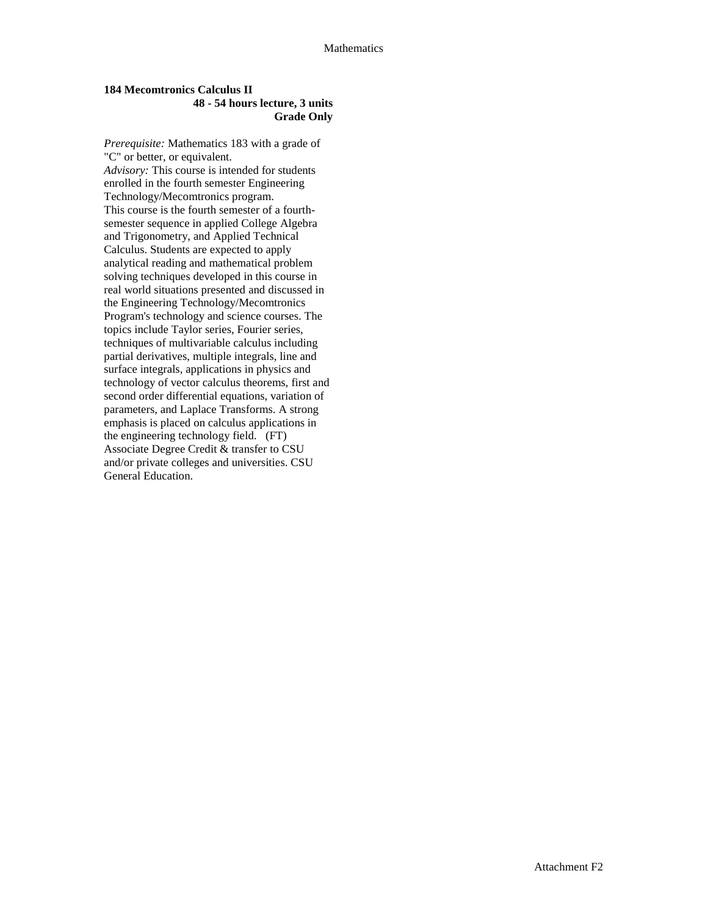#### **184 Mecomtronics Calculus II 48 - 54 hours lecture, 3 units Grade Only**

*Prerequisite:* Mathematics 183 with a grade of "C" or better, or equivalent. *Advisory:* This course is intended for students enrolled in the fourth semester Engineering Technology/Mecomtronics program. This course is the fourth semester of a fourthsemester sequence in applied College Algebra and Trigonometry, and Applied Technical Calculus. Students are expected to apply analytical reading and mathematical problem solving techniques developed in this course in real world situations presented and discussed in the Engineering Technology/Mecomtronics Program's technology and science courses. The topics include Taylor series, Fourier series, techniques of multivariable calculus including partial derivatives, multiple integrals, line and surface integrals, applications in physics and technology of vector calculus theorems, first and second order differential equations, variation of parameters, and Laplace Transforms. A strong emphasis is placed on calculus applications in the engineering technology field. (FT) Associate Degree Credit & transfer to CSU and/or private colleges and universities. CSU General Education.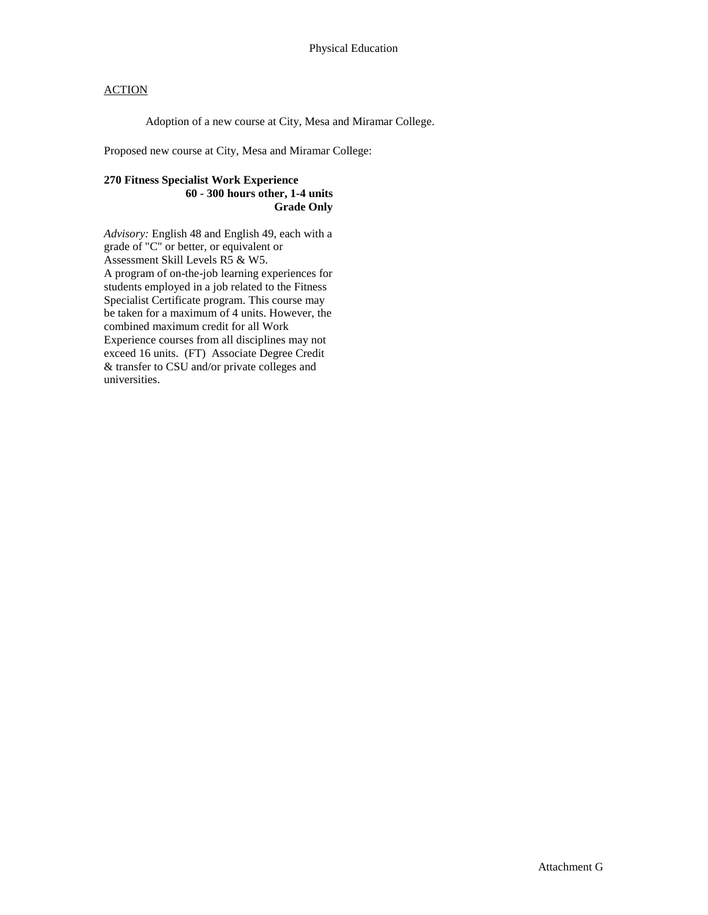Adoption of a new course at City, Mesa and Miramar College.

Proposed new course at City, Mesa and Miramar College:

# **270 Fitness Specialist Work Experience 60 - 300 hours other, 1-4 units Grade Only**

*Advisory:* English 48 and English 49, each with a grade of "C" or better, or equivalent or Assessment Skill Levels R5 & W5. A program of on-the-job learning experiences for students employed in a job related to the Fitness Specialist Certificate program. This course may be taken for a maximum of 4 units. However, the combined maximum credit for all Work Experience courses from all disciplines may not exceed 16 units. (FT) Associate Degree Credit & transfer to CSU and/or private colleges and universities.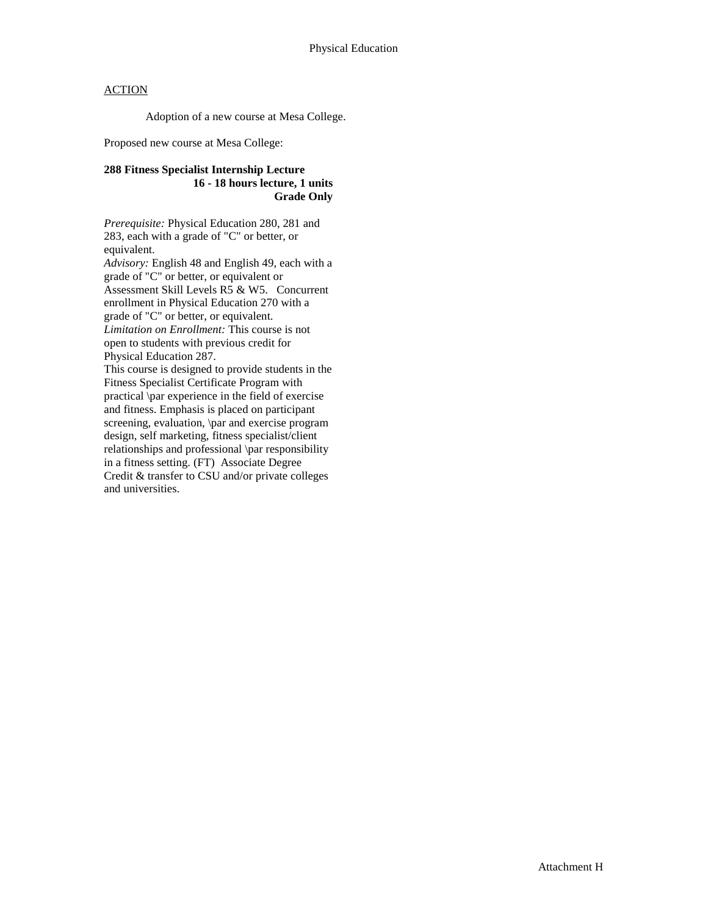Adoption of a new course at Mesa College.

Proposed new course at Mesa College:

# **288 Fitness Specialist Internship Lecture 16 - 18 hours lecture, 1 units Grade Only**

*Prerequisite:* Physical Education 280, 281 and 283, each with a grade of "C" or better, or equivalent.

*Advisory:* English 48 and English 49, each with a grade of "C" or better, or equivalent or Assessment Skill Levels R5 & W5. Concurrent enrollment in Physical Education 270 with a grade of "C" or better, or equivalent. *Limitation on Enrollment:* This course is not open to students with previous credit for Physical Education 287.

This course is designed to provide students in the Fitness Specialist Certificate Program with practical \par experience in the field of exercise and fitness. Emphasis is placed on participant screening, evaluation, \par and exercise program design, self marketing, fitness specialist/client relationships and professional \par responsibility in a fitness setting. (FT) Associate Degree Credit & transfer to CSU and/or private colleges and universities.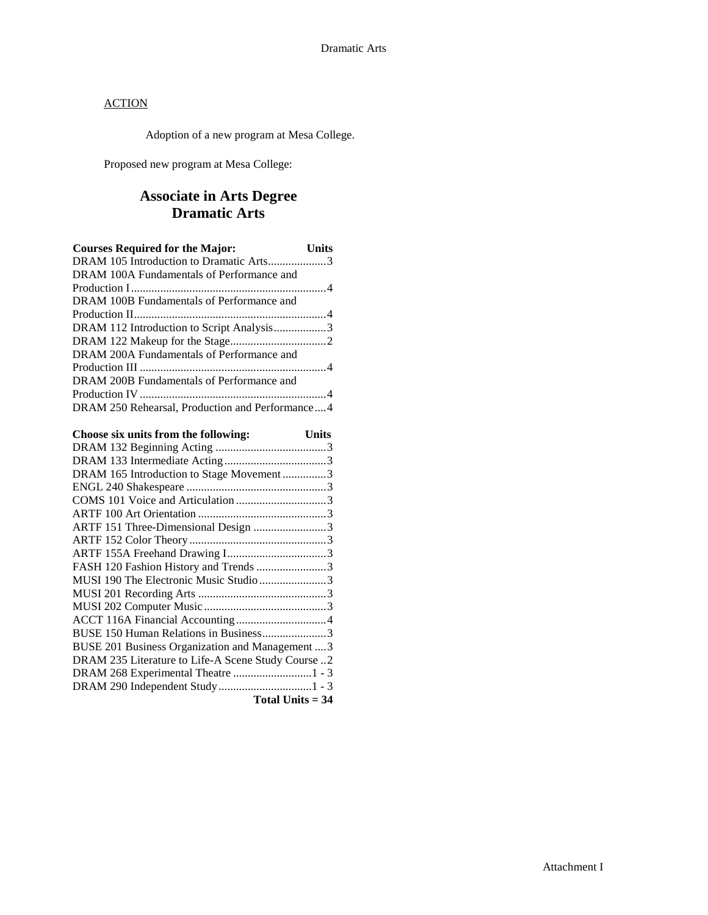Adoption of a new program at Mesa College.

Proposed new program at Mesa College:

# **Associate in Arts Degree Dramatic Arts**

| <b>Courses Required for the Major:</b>          | Units |
|-------------------------------------------------|-------|
| DRAM 105 Introduction to Dramatic Arts3         |       |
| DRAM 100A Fundamentals of Performance and       |       |
|                                                 |       |
| DRAM 100B Fundamentals of Performance and       |       |
|                                                 |       |
| DRAM 112 Introduction to Script Analysis3       |       |
|                                                 |       |
| DRAM 200A Fundamentals of Performance and       |       |
|                                                 |       |
| DRAM 200B Fundamentals of Performance and       |       |
|                                                 |       |
| DRAM 250 Rehearsal, Production and Performance4 |       |

| Choose six units from the following:               | <b>Units</b> |
|----------------------------------------------------|--------------|
|                                                    |              |
|                                                    |              |
| DRAM 165 Introduction to Stage Movement3           |              |
|                                                    |              |
|                                                    |              |
|                                                    |              |
| ARTF 151 Three-Dimensional Design 3                |              |
|                                                    |              |
|                                                    |              |
| FASH 120 Fashion History and Trends 3              |              |
| MUSI 190 The Electronic Music Studio 3             |              |
|                                                    |              |
|                                                    |              |
|                                                    |              |
| BUSE 150 Human Relations in Business3              |              |
| BUSE 201 Business Organization and Management  3   |              |
| DRAM 235 Literature to Life-A Scene Study Course 2 |              |
|                                                    |              |
|                                                    |              |
| Total Units $=$ 34                                 |              |